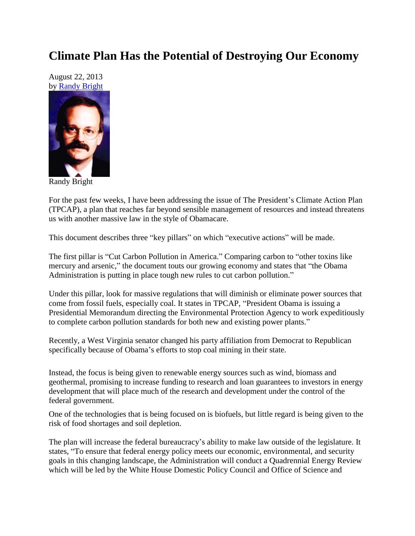## **Climate Plan Has the Potential of Destroying Our Economy**

August 22, 2013 by [Randy Bright](http://tulsabeacon.com/writers/randy-bright/)



Randy Bright

For the past few weeks, I have been addressing the issue of The President's Climate Action Plan (TPCAP), a plan that reaches far beyond sensible management of resources and instead threatens us with another massive law in the style of Obamacare.

This document describes three "key pillars" on which "executive actions" will be made.

The first pillar is "Cut Carbon Pollution in America." Comparing carbon to "other toxins like mercury and arsenic," the document touts our growing economy and states that "the Obama Administration is putting in place tough new rules to cut carbon pollution."

Under this pillar, look for massive regulations that will diminish or eliminate power sources that come from fossil fuels, especially coal. It states in TPCAP, "President Obama is issuing a Presidential Memorandum directing the Environmental Protection Agency to work expeditiously to complete carbon pollution standards for both new and existing power plants."

Recently, a West Virginia senator changed his party affiliation from Democrat to Republican specifically because of Obama's efforts to stop coal mining in their state.

Instead, the focus is being given to renewable energy sources such as wind, biomass and geothermal, promising to increase funding to research and loan guarantees to investors in energy development that will place much of the research and development under the control of the federal government.

One of the technologies that is being focused on is biofuels, but little regard is being given to the risk of food shortages and soil depletion.

The plan will increase the federal bureaucracy's ability to make law outside of the legislature. It states, "To ensure that federal energy policy meets our economic, environmental, and security goals in this changing landscape, the Administration will conduct a Quadrennial Energy Review which will be led by the White House Domestic Policy Council and Office of Science and